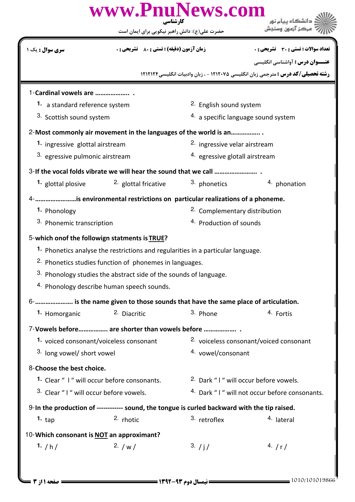| www.PnuNews.com<br>کار شناسی                                                                  |                                                                                              |                                                          |                                                                                          |  |  |  |
|-----------------------------------------------------------------------------------------------|----------------------------------------------------------------------------------------------|----------------------------------------------------------|------------------------------------------------------------------------------------------|--|--|--|
|                                                                                               | حضرت علی(ع): دانش راهبر نیکویی برای ایمان است                                                |                                                          |                                                                                          |  |  |  |
| <b>سری سوال :</b> یک ۱                                                                        | <b>زمان آزمون (دقیقه) : تستی : 80 ٪ تشریحی : 0</b>                                           |                                                          | تعداد سوالات : تستى : 30 - تشريحي : 0                                                    |  |  |  |
|                                                                                               |                                                                                              |                                                          | <b>عنـــوان درس :</b> آواشناسي انگليسي                                                   |  |  |  |
|                                                                                               |                                                                                              |                                                          | <b>رشته تحصیلی/کد درس :</b> مترجمی زبان انگلیسی ۱۲۱۲۰۷۵ - ، زبان وادبیات انگلیسی ۱۲۱۲۱۲۴ |  |  |  |
| 1-Cardinal vowels are                                                                         |                                                                                              |                                                          |                                                                                          |  |  |  |
| 1. a standard reference system                                                                |                                                                                              | 2. English sound system                                  |                                                                                          |  |  |  |
| 3. Scottish sound system                                                                      |                                                                                              | 4. a specific language sound system                      |                                                                                          |  |  |  |
| 2-Most commonly air movement in the languages of the world is an                              |                                                                                              |                                                          |                                                                                          |  |  |  |
| 1. ingressive glottal airstream                                                               |                                                                                              | <sup>2.</sup> ingressive velar airstream                 |                                                                                          |  |  |  |
| 3. egressive pulmonic airstream                                                               |                                                                                              | 4. egressive glotall airstream                           |                                                                                          |  |  |  |
|                                                                                               |                                                                                              |                                                          |                                                                                          |  |  |  |
| 1. glottal plosive                                                                            | <sup>2.</sup> glottal fricative                                                              | 3. phonetics                                             | 4. phonation                                                                             |  |  |  |
| 4-       is environmental restrictions on particular realizations of a phoneme.               |                                                                                              |                                                          |                                                                                          |  |  |  |
| 1. Phonology                                                                                  |                                                                                              | <sup>2</sup> . Complementary distribution                |                                                                                          |  |  |  |
| 3. Phonemic transcription                                                                     |                                                                                              | <sup>4.</sup> Production of sounds                       |                                                                                          |  |  |  |
| 5-which onof the followign statments is TRUE?                                                 |                                                                                              |                                                          |                                                                                          |  |  |  |
|                                                                                               | <sup>1</sup> . Phonetics analyse the restrictions and regularities in a particular language. |                                                          |                                                                                          |  |  |  |
| <sup>2.</sup> Phonetics studies function of phonemes in languages.                            |                                                                                              |                                                          |                                                                                          |  |  |  |
|                                                                                               | 3. Phonology studies the abstract side of the sounds of language.                            |                                                          |                                                                                          |  |  |  |
| 4. Phonology describe human speech sounds.                                                    |                                                                                              |                                                          |                                                                                          |  |  |  |
| 6-      is the name given to those sounds that have the same place of articulation.           |                                                                                              |                                                          |                                                                                          |  |  |  |
| 1. Homorganic                                                                                 | 2. Diacritic                                                                                 | 3. Phone                                                 | 4. Fortis                                                                                |  |  |  |
| 7-Vowels before are shorter than vowels before                                                |                                                                                              |                                                          |                                                                                          |  |  |  |
| 1. voiced consonant/voiceless consonant                                                       |                                                                                              | 2. voiceless consonant/voiced consonant                  |                                                                                          |  |  |  |
| 3. long vowel/ short vowel                                                                    |                                                                                              | 4. vowel/consonant                                       |                                                                                          |  |  |  |
| 8-Choose the best choice.                                                                     |                                                                                              |                                                          |                                                                                          |  |  |  |
| 1. Clear " I " will occur before consonants.                                                  |                                                                                              | 2. Dark "I" will occur before vowels.                    |                                                                                          |  |  |  |
| 3. Clear "I" will occur before vowels.                                                        |                                                                                              | <sup>4.</sup> Dark "I" will not occur before consonants. |                                                                                          |  |  |  |
| 9-In the production of ------------ sound, the tongue is curled backward with the tip raised. |                                                                                              |                                                          |                                                                                          |  |  |  |
| 1. $_{\text{tap}}$                                                                            | $2.$ rhotic                                                                                  | 3. retroflex                                             | 4. lateral                                                                               |  |  |  |
| 10-Which consonant is NOT an approximant?                                                     |                                                                                              |                                                          |                                                                                          |  |  |  |
| 1. $/h/$                                                                                      | 2. $/w/$                                                                                     | 3. / j /                                                 | 4. $/r/$                                                                                 |  |  |  |
|                                                                                               |                                                                                              |                                                          |                                                                                          |  |  |  |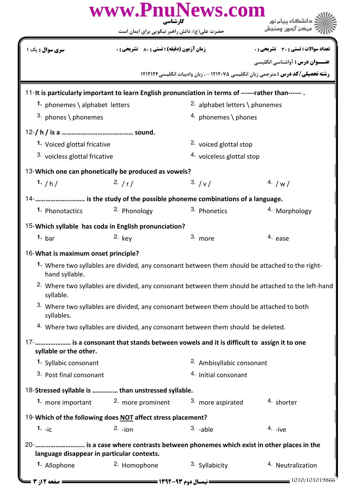|                                                                                                                                              | www.PnuNews.com<br>کارشناسی                                                        |                                      |                                                                                         |  |  |  |
|----------------------------------------------------------------------------------------------------------------------------------------------|------------------------------------------------------------------------------------|--------------------------------------|-----------------------------------------------------------------------------------------|--|--|--|
|                                                                                                                                              | حضرت علی(ع): دانش راهبر نیکویی برای ایمان است                                      |                                      |                                                                                         |  |  |  |
| <b>سری سوال :</b> یک ۱                                                                                                                       | <b>زمان آزمون (دقیقه) : تستی : 80 ٪ تشریحی : 0</b>                                 |                                      | تعداد سوالات : تستى : 30 ٪ تشريحي : 0                                                   |  |  |  |
|                                                                                                                                              |                                                                                    |                                      | <b>عنـــوان درس :</b> آواشناسي انگليسي                                                  |  |  |  |
|                                                                                                                                              |                                                                                    |                                      | <b>رشته تحصیلی/کد درس :</b> مترجمی زبان انگلیسی ۱۲۱۲۰۷۵ - ، زبان وادبیات انگلیسی۱۲۱۲۱۲۴ |  |  |  |
| 11-It is particularly important to learn English pronunciation in terms of ------rather than------.                                          |                                                                                    |                                      |                                                                                         |  |  |  |
| 1. phonemes \ alphabet letters                                                                                                               |                                                                                    | 2. alphabet letters \ phonemes       |                                                                                         |  |  |  |
| 3. phones \ phonemes                                                                                                                         |                                                                                    | 4. phonemes \ phones                 |                                                                                         |  |  |  |
|                                                                                                                                              |                                                                                    |                                      |                                                                                         |  |  |  |
|                                                                                                                                              | 1. Voiced glottal fricative                                                        |                                      | <sup>2.</sup> voiced glottal stop                                                       |  |  |  |
|                                                                                                                                              | 3. voicless glottal fricative                                                      |                                      | <sup>4.</sup> voiceless glottal stop                                                    |  |  |  |
| 13-Which one can phonetically be produced as vowels?                                                                                         |                                                                                    |                                      |                                                                                         |  |  |  |
| 1. $/h/$                                                                                                                                     | 2. $/r/$                                                                           | 3. / v /                             | 4. $/w/$                                                                                |  |  |  |
|                                                                                                                                              |                                                                                    |                                      |                                                                                         |  |  |  |
| 1. Phonotactics                                                                                                                              | 2. Phonology                                                                       | 3. Phonetics                         | 4. Morphology                                                                           |  |  |  |
| 15-Which syllable has coda in English pronunciation?                                                                                         |                                                                                    |                                      |                                                                                         |  |  |  |
| 1. $bar$                                                                                                                                     | $2.$ key                                                                           | 3. more                              | 4. ease                                                                                 |  |  |  |
| 16-What is maximum onset principle?                                                                                                          |                                                                                    |                                      |                                                                                         |  |  |  |
| <sup>1</sup> Where two syllables are divided, any consonant between them should be attached to the right-                                    |                                                                                    |                                      |                                                                                         |  |  |  |
| hand syllable.<br><sup>2.</sup> Where two syllables are divided, any consonant between them should be attached to the left-hand<br>syllable. |                                                                                    |                                      |                                                                                         |  |  |  |
| 3. Where two syllables are divided, any consonant between them should be attached to both<br>syllables.                                      |                                                                                    |                                      |                                                                                         |  |  |  |
|                                                                                                                                              | 4. Where two syllables are divided, any consonant between them should be deleted.  |                                      |                                                                                         |  |  |  |
| 17-     is a consonant that stands between vowels and it is difficult to assign it to one<br>syllable or the other.                          |                                                                                    |                                      |                                                                                         |  |  |  |
| 1. Syllabic consonant                                                                                                                        |                                                                                    | <sup>2.</sup> Ambisyllabic consonant |                                                                                         |  |  |  |
| <sup>3.</sup> Post final consonant                                                                                                           |                                                                                    | <sup>4.</sup> Initial consonant      |                                                                                         |  |  |  |
| 18-Stressed syllable is  than unstressed syllable.                                                                                           |                                                                                    |                                      |                                                                                         |  |  |  |
| 1. more important                                                                                                                            | 2. more prominent                                                                  | 3. more aspirated                    | 4. shorter                                                                              |  |  |  |
| 19-Which of the following does NOT affect stress placement?                                                                                  |                                                                                    |                                      |                                                                                         |  |  |  |
| $1. -iC$                                                                                                                                     | $2.$ -ion                                                                          | $3. -able$                           | $4.$ -ive                                                                               |  |  |  |
|                                                                                                                                              | 20-  is a case where contrasts between phonemes which exist in other places in the |                                      |                                                                                         |  |  |  |
| language disappear in particular contexts.                                                                                                   |                                                                                    |                                      |                                                                                         |  |  |  |
| 1. Allophone                                                                                                                                 | <sup>2.</sup> Homophone                                                            | 3. Syllabicity                       | <sup>4.</sup> Neutralization                                                            |  |  |  |
| = صفحه 12ز 3 =                                                                                                                               |                                                                                    |                                      | $= 1010/101019866$                                                                      |  |  |  |